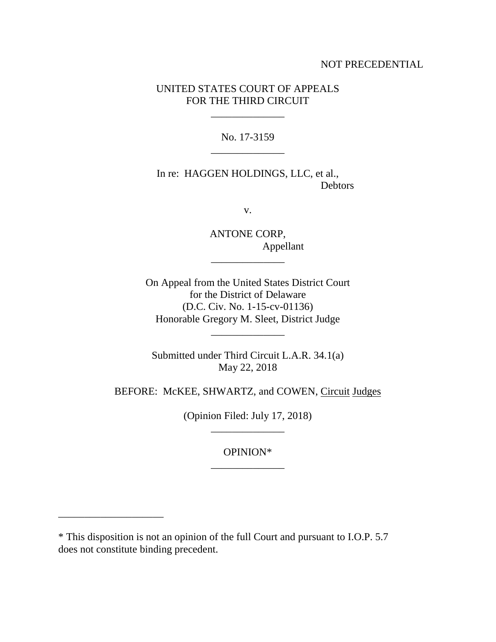## NOT PRECEDENTIAL

# UNITED STATES COURT OF APPEALS FOR THE THIRD CIRCUIT

\_\_\_\_\_\_\_\_\_\_\_\_\_\_

No. 17-3159 \_\_\_\_\_\_\_\_\_\_\_\_\_\_

In re: HAGGEN HOLDINGS, LLC, et al., Debtors

v.

ANTONE CORP, Appellant \_\_\_\_\_\_\_\_\_\_\_\_\_\_

On Appeal from the United States District Court for the District of Delaware (D.C. Civ. No. 1-15-cv-01136) Honorable Gregory M. Sleet, District Judge

\_\_\_\_\_\_\_\_\_\_\_\_\_\_

Submitted under Third Circuit L.A.R. 34.1(a) May 22, 2018

BEFORE: McKEE, SHWARTZ, and COWEN, Circuit Judges

(Opinion Filed: July 17, 2018) \_\_\_\_\_\_\_\_\_\_\_\_\_\_

> OPINION\* \_\_\_\_\_\_\_\_\_\_\_\_\_\_

\_\_\_\_\_\_\_\_\_\_\_\_\_\_\_\_\_\_\_\_

<sup>\*</sup> This disposition is not an opinion of the full Court and pursuant to I.O.P. 5.7 does not constitute binding precedent.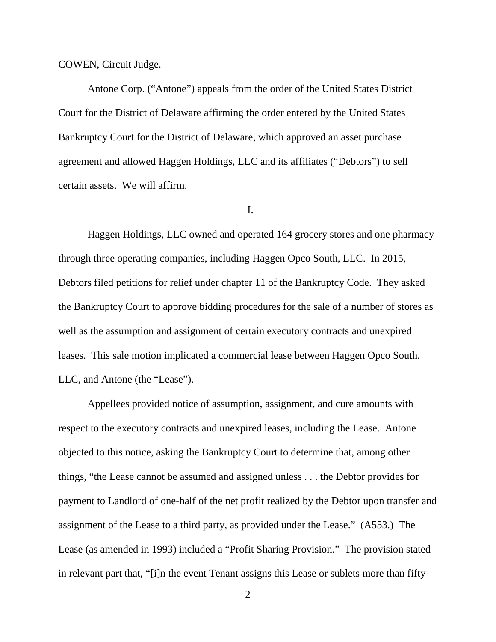### COWEN, Circuit Judge.

Antone Corp. ("Antone") appeals from the order of the United States District Court for the District of Delaware affirming the order entered by the United States Bankruptcy Court for the District of Delaware, which approved an asset purchase agreement and allowed Haggen Holdings, LLC and its affiliates ("Debtors") to sell certain assets. We will affirm.

## I.

Haggen Holdings, LLC owned and operated 164 grocery stores and one pharmacy through three operating companies, including Haggen Opco South, LLC. In 2015, Debtors filed petitions for relief under chapter 11 of the Bankruptcy Code. They asked the Bankruptcy Court to approve bidding procedures for the sale of a number of stores as well as the assumption and assignment of certain executory contracts and unexpired leases. This sale motion implicated a commercial lease between Haggen Opco South, LLC, and Antone (the "Lease").

Appellees provided notice of assumption, assignment, and cure amounts with respect to the executory contracts and unexpired leases, including the Lease. Antone objected to this notice, asking the Bankruptcy Court to determine that, among other things, "the Lease cannot be assumed and assigned unless . . . the Debtor provides for payment to Landlord of one-half of the net profit realized by the Debtor upon transfer and assignment of the Lease to a third party, as provided under the Lease." (A553.) The Lease (as amended in 1993) included a "Profit Sharing Provision." The provision stated in relevant part that, "[i]n the event Tenant assigns this Lease or sublets more than fifty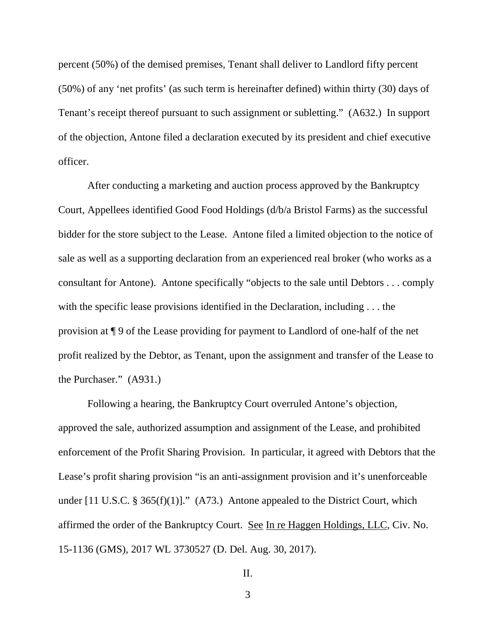percent (50%) of the demised premises, Tenant shall deliver to Landlord fifty percent (50%) of any 'net profits' (as such term is hereinafter defined) within thirty (30) days of Tenant's receipt thereof pursuant to such assignment or subletting." (A632.) In support of the objection, Antone filed a declaration executed by its president and chief executive officer.

After conducting a marketing and auction process approved by the Bankruptcy Court, Appellees identified Good Food Holdings (d/b/a Bristol Farms) as the successful bidder for the store subject to the Lease. Antone filed a limited objection to the notice of sale as well as a supporting declaration from an experienced real broker (who works as a consultant for Antone). Antone specifically "objects to the sale until Debtors . . . comply with the specific lease provisions identified in the Declaration, including . . . the provision at ¶ 9 of the Lease providing for payment to Landlord of one-half of the net profit realized by the Debtor, as Tenant, upon the assignment and transfer of the Lease to the Purchaser." (A931.)

Following a hearing, the Bankruptcy Court overruled Antone's objection, approved the sale, authorized assumption and assignment of the Lease, and prohibited enforcement of the Profit Sharing Provision. In particular, it agreed with Debtors that the Lease's profit sharing provision "is an anti-assignment provision and it's unenforceable under  $[11 \text{ U.S.C. } § 365(f)(1)]$ ." (A73.) Antone appealed to the District Court, which affirmed the order of the Bankruptcy Court. See In re Haggen Holdings, LLC, Civ. No. 15-1136 (GMS), 2017 WL 3730527 (D. Del. Aug. 30, 2017).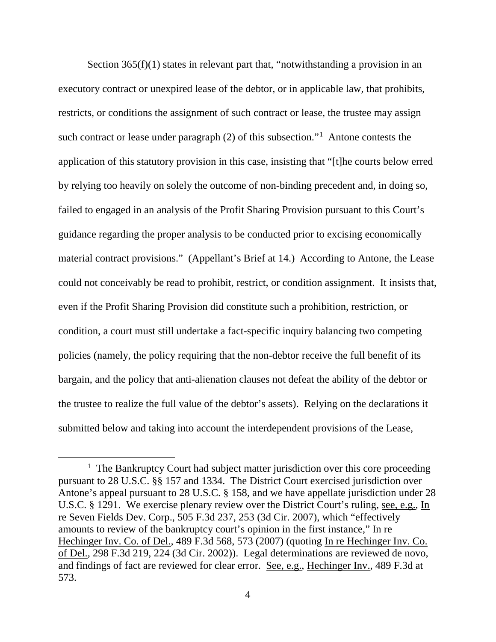Section 365(f)(1) states in relevant part that, "notwithstanding a provision in an executory contract or unexpired lease of the debtor, or in applicable law, that prohibits, restricts, or conditions the assignment of such contract or lease, the trustee may assign such contract or lease under paragraph (2) of this subsection."<sup>1</sup> Antone contests the application of this statutory provision in this case, insisting that "[t]he courts below erred by relying too heavily on solely the outcome of non-binding precedent and, in doing so, failed to engaged in an analysis of the Profit Sharing Provision pursuant to this Court's guidance regarding the proper analysis to be conducted prior to excising economically material contract provisions." (Appellant's Brief at 14.) According to Antone, the Lease could not conceivably be read to prohibit, restrict, or condition assignment. It insists that, even if the Profit Sharing Provision did constitute such a prohibition, restriction, or condition, a court must still undertake a fact-specific inquiry balancing two competing policies (namely, the policy requiring that the non-debtor receive the full benefit of its bargain, and the policy that anti-alienation clauses not defeat the ability of the debtor or the trustee to realize the full value of the debtor's assets). Relying on the declarations it submitted below and taking into account the interdependent provisions of the Lease,

<sup>&</sup>lt;u>1</u>  $1$  The Bankruptcy Court had subject matter jurisdiction over this core proceeding pursuant to 28 U.S.C. §§ 157 and 1334. The District Court exercised jurisdiction over Antone's appeal pursuant to 28 U.S.C. § 158, and we have appellate jurisdiction under 28 U.S.C. § 1291. We exercise plenary review over the District Court's ruling, see, e.g., In re Seven Fields Dev. Corp., 505 F.3d 237, 253 (3d Cir. 2007), which "effectively amounts to review of the bankruptcy court's opinion in the first instance," In re Hechinger Inv. Co. of Del., 489 F.3d 568, 573 (2007) (quoting In re Hechinger Inv. Co. of Del., 298 F.3d 219, 224 (3d Cir. 2002)). Legal determinations are reviewed de novo, and findings of fact are reviewed for clear error. See, e.g., Hechinger Inv., 489 F.3d at 573.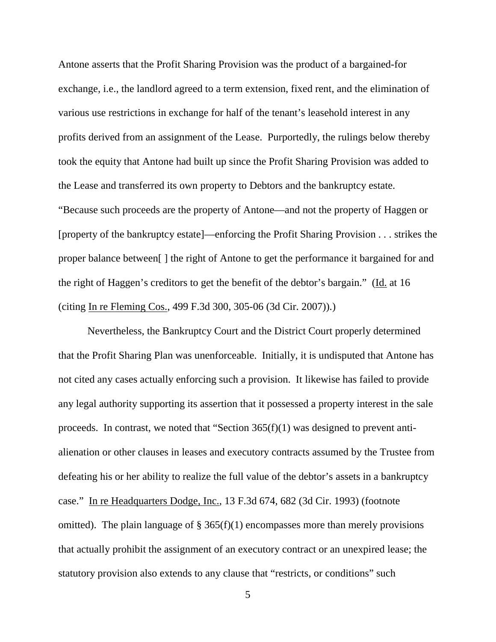Antone asserts that the Profit Sharing Provision was the product of a bargained-for exchange, i.e., the landlord agreed to a term extension, fixed rent, and the elimination of various use restrictions in exchange for half of the tenant's leasehold interest in any profits derived from an assignment of the Lease. Purportedly, the rulings below thereby took the equity that Antone had built up since the Profit Sharing Provision was added to the Lease and transferred its own property to Debtors and the bankruptcy estate. "Because such proceeds are the property of Antone—and not the property of Haggen or [property of the bankruptcy estate]—enforcing the Profit Sharing Provision . . . strikes the proper balance between[ ] the right of Antone to get the performance it bargained for and the right of Haggen's creditors to get the benefit of the debtor's bargain." (Id. at 16 (citing In re Fleming Cos., 499 F.3d 300, 305-06 (3d Cir. 2007)).)

Nevertheless, the Bankruptcy Court and the District Court properly determined that the Profit Sharing Plan was unenforceable. Initially, it is undisputed that Antone has not cited any cases actually enforcing such a provision. It likewise has failed to provide any legal authority supporting its assertion that it possessed a property interest in the sale proceeds. In contrast, we noted that "Section 365(f)(1) was designed to prevent antialienation or other clauses in leases and executory contracts assumed by the Trustee from defeating his or her ability to realize the full value of the debtor's assets in a bankruptcy case." In re Headquarters Dodge, Inc., 13 F.3d 674, 682 (3d Cir. 1993) (footnote omitted). The plain language of  $\S 365(f)(1)$  encompasses more than merely provisions that actually prohibit the assignment of an executory contract or an unexpired lease; the statutory provision also extends to any clause that "restricts, or conditions" such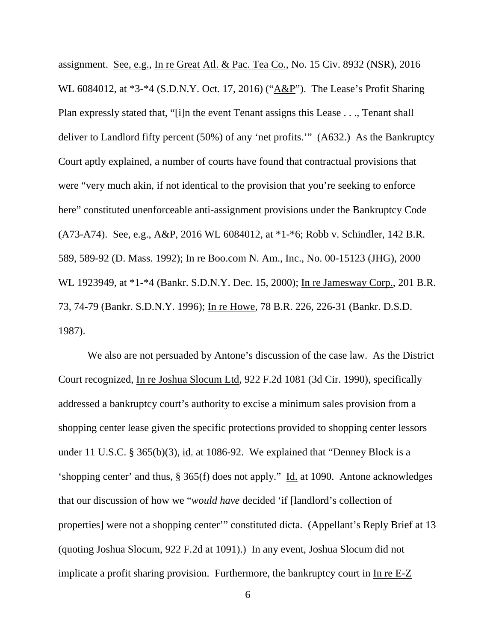assignment. See, e.g., In re Great Atl. & Pac. Tea Co., No. 15 Civ. 8932 (NSR), 2016 WL 6084012, at \*3-\*4 (S.D.N.Y. Oct. 17, 2016) ("A&P"). The Lease's Profit Sharing Plan expressly stated that, "[i]n the event Tenant assigns this Lease . . ., Tenant shall deliver to Landlord fifty percent (50%) of any 'net profits.'" (A632.) As the Bankruptcy Court aptly explained, a number of courts have found that contractual provisions that were "very much akin, if not identical to the provision that you're seeking to enforce here" constituted unenforceable anti-assignment provisions under the Bankruptcy Code (A73-A74). See, e.g., A&P, 2016 WL 6084012, at \*1-\*6; Robb v. Schindler, 142 B.R. 589, 589-92 (D. Mass. 1992); In re Boo.com N. Am., Inc., No. 00-15123 (JHG), 2000 WL 1923949, at \*1-\*4 (Bankr. S.D.N.Y. Dec. 15, 2000); In re Jamesway Corp., 201 B.R. 73, 74-79 (Bankr. S.D.N.Y. 1996); In re Howe, 78 B.R. 226, 226-31 (Bankr. D.S.D. 1987).

We also are not persuaded by Antone's discussion of the case law. As the District Court recognized, In re Joshua Slocum Ltd, 922 F.2d 1081 (3d Cir. 1990), specifically addressed a bankruptcy court's authority to excise a minimum sales provision from a shopping center lease given the specific protections provided to shopping center lessors under 11 U.S.C. § 365(b)(3), id. at 1086-92. We explained that "Denney Block is a 'shopping center' and thus, § 365(f) does not apply." Id. at 1090. Antone acknowledges that our discussion of how we "*would have* decided 'if [landlord's collection of properties] were not a shopping center'" constituted dicta. (Appellant's Reply Brief at 13 (quoting Joshua Slocum, 922 F.2d at 1091).) In any event, Joshua Slocum did not implicate a profit sharing provision. Furthermore, the bankruptcy court in  $In *e* E-Z$